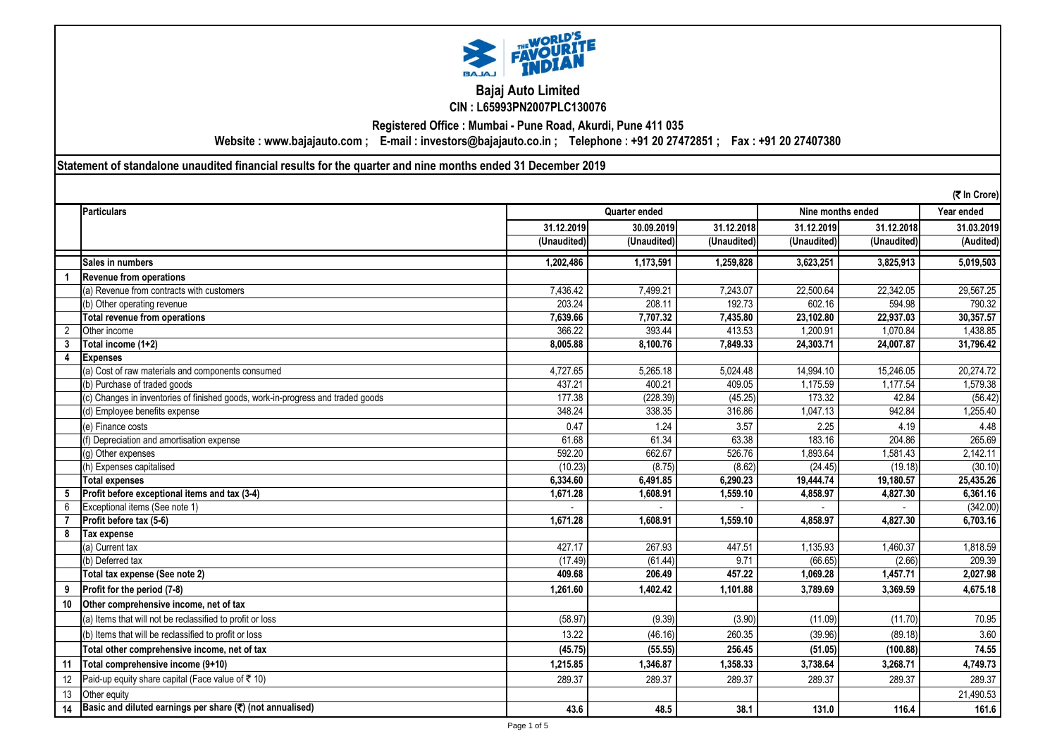

**Bajaj Auto Limited CIN : L65993PN2007PLC130076**

**Registered Office : Mumbai - Pune Road, Akurdi, Pune 411 035**

**Website : www.bajajauto.com ; E-mail : investors@bajajauto.co.in ; Telephone : +91 20 27472851 ; Fax : +91 20 27407380**

**Statement of standalone unaudited financial results for the quarter and nine months ended 31 December 2019**

|                | (₹ In Crore)                                                                    |               |             |             |                   |             |            |
|----------------|---------------------------------------------------------------------------------|---------------|-------------|-------------|-------------------|-------------|------------|
|                | Particulars                                                                     | Quarter ended |             |             | Nine months ended |             | Year ended |
|                |                                                                                 | 31.12.2019    | 30.09.2019  | 31.12.2018  | 31.12.2019        | 31.12.2018  | 31.03.2019 |
|                |                                                                                 | (Unaudited)   | (Unaudited) | (Unaudited) | (Unaudited)       | (Unaudited) | (Audited)  |
|                | Sales in numbers                                                                | 1,202,486     | 1,173,591   | 1,259,828   | 3,623,251         | 3,825,913   | 5,019,503  |
|                | <b>Revenue from operations</b>                                                  |               |             |             |                   |             |            |
|                | (a) Revenue from contracts with customers                                       | 7,436.42      | 7,499.21    | 7,243.07    | 22,500.64         | 22,342.05   | 29,567.25  |
|                | (b) Other operating revenue                                                     | 203.24        | 208.11      | 192.73      | 602.16            | 594.98      | 790.32     |
|                | <b>Total revenue from operations</b>                                            | 7.639.66      | 7,707.32    | 7,435.80    | 23.102.80         | 22,937.03   | 30,357.57  |
| $\overline{2}$ | Other income                                                                    | 366.22        | 393.44      | 413.53      | 1.200.91          | 1.070.84    | 1,438.85   |
| 3              | Total income (1+2)                                                              | 8.005.88      | 8.100.76    | 7.849.33    | 24,303.71         | 24,007.87   | 31,796.42  |
| 4              | <b>Expenses</b>                                                                 |               |             |             |                   |             |            |
|                | (a) Cost of raw materials and components consumed                               | 4,727.65      | 5,265.18    | 5,024.48    | 14,994.10         | 15,246.05   | 20,274.72  |
|                | (b) Purchase of traded goods                                                    | 437.21        | 400.21      | 409.05      | 1,175.59          | 1,177.54    | 1,579.38   |
|                | (c) Changes in inventories of finished goods, work-in-progress and traded goods | 177.38        | (228.39)    | (45.25)     | 173.32            | 42.84       | (56.42)    |
|                | (d) Employee benefits expense                                                   | 348.24        | 338.35      | 316.86      | 1,047.13          | 942.84      | 1,255.40   |
|                | (e) Finance costs                                                               | 0.47          | 1.24        | 3.57        | 2.25              | 4.19        | 4.48       |
|                | (f) Depreciation and amortisation expense                                       | 61.68         | 61.34       | 63.38       | 183.16            | 204.86      | 265.69     |
|                | (g) Other expenses                                                              | 592.20        | 662.67      | 526.76      | 1,893.64          | 1,581.43    | 2,142.11   |
|                | (h) Expenses capitalised                                                        | (10.23)       | (8.75)      | (8.62)      | (24.45)           | (19.18)     | (30.10)    |
|                | <b>Total expenses</b>                                                           | 6.334.60      | 6,491.85    | 6,290.23    | 19,444.74         | 19,180.57   | 25,435.26  |
| 5              | Profit before exceptional items and tax (3-4)                                   | 1,671.28      | 1,608.91    | 1,559.10    | 4,858.97          | 4,827.30    | 6,361.16   |
| 6              | Exceptional items (See note 1)                                                  |               |             |             |                   |             | (342.00)   |
|                | Profit before tax (5-6)                                                         | 1,671.28      | 1,608.91    | 1,559.10    | 4,858.97          | 4,827.30    | 6,703.16   |
| 8              | <b>Tax expense</b>                                                              |               |             |             |                   |             |            |
|                | (a) Current tax                                                                 | 427.17        | 267.93      | 447.51      | 1,135.93          | 1,460.37    | 1,818.59   |
|                | (b) Deferred tax                                                                | (17.49)       | (61.44)     | 9.71        | (66.65)           | (2.66)      | 209.39     |
|                | Total tax expense (See note 2)                                                  | 409.68        | 206.49      | 457.22      | 1.069.28          | 1,457.71    | 2,027.98   |
| 9              | Profit for the period (7-8)                                                     | 1.261.60      | 1.402.42    | 1,101.88    | 3,789.69          | 3,369.59    | 4,675.18   |
| 10             | Other comprehensive income, net of tax                                          |               |             |             |                   |             |            |
|                | (a) Items that will not be reclassified to profit or loss                       | (58.97)       | (9.39)      | (3.90)      | (11.09)           | (11.70)     | 70.95      |
|                | (b) Items that will be reclassified to profit or loss                           | 13.22         | (46.16)     | 260.35      | (39.96)           | (89.18)     | 3.60       |
|                | Total other comprehensive income, net of tax                                    | (45.75)       | (55.55)     | 256.45      | (51.05)           | (100.88)    | 74.55      |
| 11             | Total comprehensive income (9+10)                                               | 1.215.85      | 1.346.87    | 1,358.33    | 3,738.64          | 3.268.71    | 4,749.73   |
| 12             | Paid-up equity share capital (Face value of ₹ 10)                               | 289.37        | 289.37      | 289.37      | 289.37            | 289.37      | 289.37     |
| 13             | Other equity                                                                    |               |             |             |                   |             | 21,490.53  |
| 14             | Basic and diluted earnings per share $(\overline{\mathbf{C}})$ (not annualised) | 43.6          | 48.5        | 38.1        | 131.0             | 116.4       | 161.6      |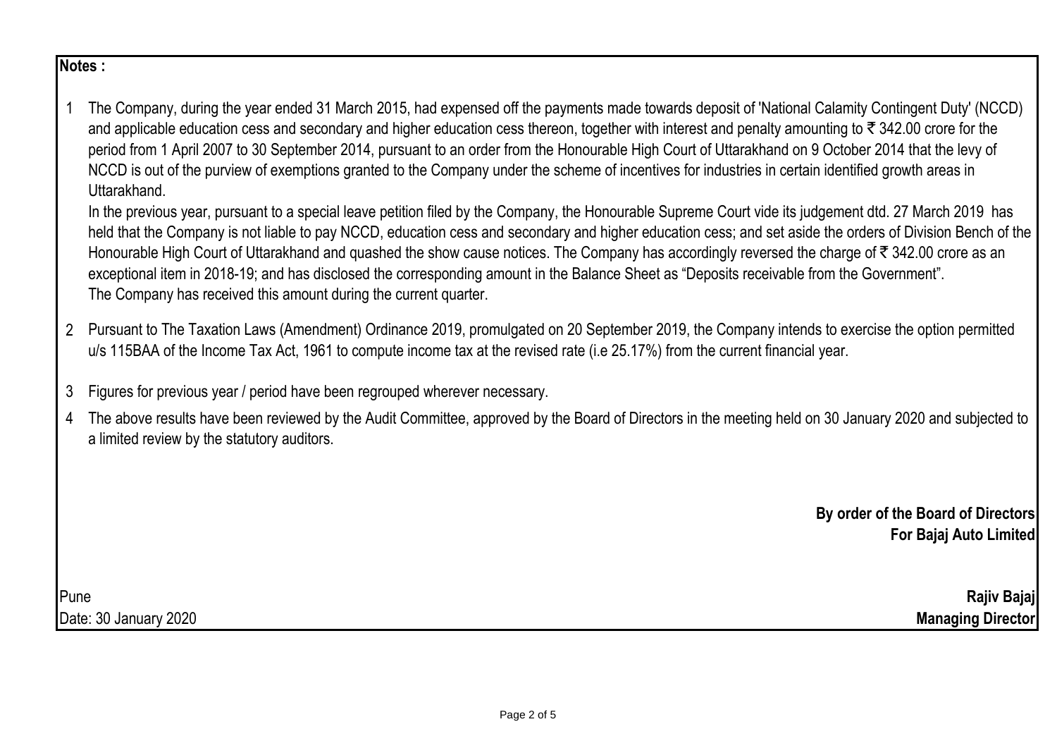## **Notes :**

1 The Company, during the year ended 31 March 2015, had expensed off the payments made towards deposit of 'National Calamity Contingent Duty' (NCCD) and applicable education cess and secondary and higher education cess thereon, together with interest and penalty amounting to  $\bar{\tau}$  342.00 crore for the period from 1 April 2007 to 30 September 2014, pursuant to an order from the Honourable High Court of Uttarakhand on 9 October 2014 that the levy of NCCD is out of the purview of exemptions granted to the Company under the scheme of incentives for industries in certain identified growth areas in Uttarakhand.

In the previous year, pursuant to a special leave petition filed by the Company, the Honourable Supreme Court vide its judgement dtd. 27 March 2019 has held that the Company is not liable to pay NCCD, education cess and secondary and higher education cess; and set aside the orders of Division Bench of the Honourable High Court of Uttarakhand and quashed the show cause notices. The Company has accordingly reversed the charge of  $\bar{\tau}$  342.00 crore as an exceptional item in 2018-19; and has disclosed the corresponding amount in the Balance Sheet as "Deposits receivable from the Government". The Company has received this amount during the current quarter.

- 2 Pursuant to The Taxation Laws (Amendment) Ordinance 2019, promulgated on 20 September 2019, the Company intends to exercise the option permitted u/s 115BAA of the Income Tax Act, 1961 to compute income tax at the revised rate (i.e 25.17%) from the current financial year.
- 3 Figures for previous year / period have been regrouped wherever necessary.
- 4 The above results have been reviewed by the Audit Committee, approved by the Board of Directors in the meeting held on 30 January 2020 and subjected to a limited review by the statutory auditors.

**By order of the Board of Directors For Bajaj Auto Limited**

Pune **Rajiv Bajaj** Date: 30 January 2020 **Managing Director**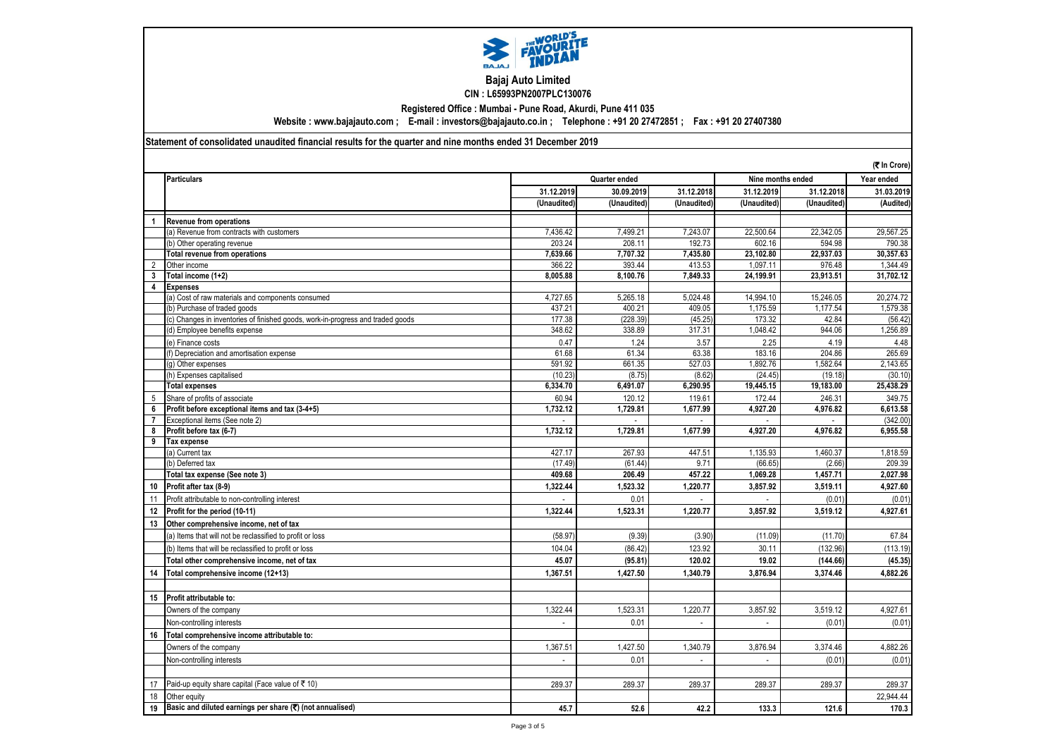

## **Bajaj Auto Limited CIN : L65993PN2007PLC130076**

**Registered Office : Mumbai - Pune Road, Akurdi, Pune 411 035**

**Website : www.bajajauto.com ; E-mail : investors@bajajauto.co.in ; Telephone : +91 20 27472851 ; Fax : +91 20 27407380**

## **Statement of consolidated unaudited financial results for the quarter and nine months ended 31 December 2019**

|                | (₹ In Crore)                                                                    |                   |                                    |                          |                     |                    |                    |
|----------------|---------------------------------------------------------------------------------|-------------------|------------------------------------|--------------------------|---------------------|--------------------|--------------------|
|                | <b>Particulars</b>                                                              |                   | Quarter ended<br>Nine months ended |                          |                     |                    | Year ended         |
|                |                                                                                 | 31.12.2019        | 30.09.2019                         | 31.12.2018               | 31.12.2019          | 31.12.2018         | 31.03.2019         |
|                |                                                                                 | (Unaudited)       | (Unaudited)                        | (Unaudited)              | (Unaudited)         | (Unaudited)        | (Audited)          |
| $\overline{1}$ | <b>Revenue from operations</b>                                                  |                   |                                    |                          |                     |                    |                    |
|                | (a) Revenue from contracts with customers                                       | 7.436.42          | 7,499.21                           | 7.243.07                 | 22,500.64           | 22,342.05          | 29,567.25          |
|                | (b) Other operating revenue                                                     | 203.24            | 208.11                             | 192.73                   | 602.16              | 594.98             | 790.38             |
|                | <b>Total revenue from operations</b>                                            | 7.639.66          | 7.707.32                           | 7.435.80                 | 23.102.80           | 22,937.03          | 30.357.63          |
| 2              | Other income                                                                    | 366.22            | 393.44                             | 413.53                   | 1,097.11            | 976.48             | 1,344.49           |
| 3              | Total income (1+2)                                                              | 8,005.88          | 8,100.76                           | 7,849.33                 | 24,199.91           | 23,913.51          | 31,702.12          |
|                | <b>Expenses</b>                                                                 |                   |                                    |                          |                     |                    |                    |
|                | (a) Cost of raw materials and components consumed                               | 4,727.65          | 5,265.18                           | 5.024.48                 | 14.994.10           | 15,246.05          | 20,274.72          |
|                | (b) Purchase of traded goods                                                    | 437.21            | 400.21                             | 409.05                   | 1,175.59            | 1,177.54           | 1,579.38           |
|                | c) Changes in inventories of finished goods, work-in-progress and traded goods  | 177.38            | (228.39)                           | (45.25)                  | 173.32              | 42.84              | (56.42)            |
|                | d) Employee benefits expense                                                    | 348.62            | 338.89                             | 317.31                   | 1,048.42            | 944.06             | 1,256.89           |
|                | (e) Finance costs                                                               | 0.47              | 1.24                               | 3.57                     | 2.25                | 4.19               | 4.48               |
|                | f) Depreciation and amortisation expense                                        | 61.68             | 61.34                              | 63.38                    | 183.16              | 204.86             | 265.69             |
|                | q) Other expenses                                                               | 591.92            | 661.35                             | 527.03                   | 1.892.76            | 1,582.64           | 2,143.65           |
|                | h) Expenses capitalised                                                         | (10.23)           | (8.75)                             | (8.62)                   | (24.45)             | (19.18)            | (30.10)            |
|                | <b>Total expenses</b>                                                           | 6.334.70          | 6,491.07                           | 6,290.95                 | 19.445.15           | 19.183.00          | 25.438.29          |
| 5              | Share of profits of associate                                                   | 60.94             | 120.12                             | 119.61                   | 172.44              | 246.31             | 349.75             |
| 6              | Profit before exceptional items and tax (3-4+5)                                 | 1,732.12          | 1,729.81                           | 1,677.99                 | 4,927.20            | 4,976.82           | 6,613.58           |
| $\overline{7}$ | Exceptional items (See note 2)                                                  |                   |                                    |                          |                     |                    | (342.00)           |
| 8              | Profit before tax (6-7)                                                         | 1,732.12          | 1,729.81                           | 1.677.99                 | 4,927.20            | 4,976.82           | 6,955.58           |
| 9              | Tax expense                                                                     |                   |                                    |                          |                     |                    |                    |
|                | a) Current tax                                                                  | 427.17            | 267.93                             | 447.51                   | 1,135.93            | 1,460.37           | 1,818.59           |
|                | b) Deferred tax                                                                 | (17.49)<br>409.68 | (61.44)<br>206.49                  | 9.71<br>457.22           | (66.65)<br>1,069.28 | (2.66)<br>1,457.71 | 209.39<br>2,027.98 |
|                | Total tax expense (See note 3)                                                  |                   |                                    |                          |                     |                    |                    |
| 10             | Profit after tax (8-9)                                                          | 1.322.44          | 1,523.32                           | 1,220.77                 | 3,857.92            | 3,519.11           | 4,927.60           |
| 11             | Profit attributable to non-controlling interest                                 |                   | 0.01                               |                          |                     | (0.01)             | (0.01)             |
| 12             | Profit for the period (10-11)                                                   | 1,322.44          | 1,523.31                           | 1,220.77                 | 3,857.92            | 3,519.12           | 4,927.61           |
| 13             | Other comprehensive income, net of tax                                          |                   |                                    |                          |                     |                    |                    |
|                | (a) Items that will not be reclassified to profit or loss                       | (58.97)           | (9.39)                             | (3.90)                   | (11.09)             | (11.70)            | 67.84              |
|                | (b) Items that will be reclassified to profit or loss                           | 104.04            | (86.42)                            | 123.92                   | 30.11               | (132.96)           | (113.19)           |
|                | Total other comprehensive income, net of tax                                    | 45.07             | (95.81)                            | 120.02                   | 19.02               | (144.66)           | (45.35)            |
| 14             | Total comprehensive income (12+13)                                              | 1,367.51          | 1,427.50                           | 1,340.79                 | 3,876.94            | 3,374.46           | 4,882.26           |
|                |                                                                                 |                   |                                    |                          |                     |                    |                    |
| 15             | Profit attributable to:                                                         |                   |                                    |                          |                     |                    |                    |
|                | Owners of the company                                                           | 1,322.44          | 1,523.31                           | 1,220.77                 | 3,857.92            | 3,519.12           | 4,927.61           |
|                | Non-controlling interests                                                       |                   | 0.01                               | $\mathcal{L}$            |                     | (0.01)             | (0.01)             |
| 16             | Total comprehensive income attributable to:                                     |                   |                                    |                          |                     |                    |                    |
|                |                                                                                 | 1,367.51          | 1,427.50                           | 1,340.79                 | 3,876.94            | 3,374.46           | 4,882.26           |
|                | Owners of the company                                                           |                   |                                    |                          |                     |                    |                    |
|                | Non-controlling interests                                                       |                   | 0.01                               | $\overline{\phantom{a}}$ |                     | (0.01)             | (0.01)             |
|                |                                                                                 |                   |                                    |                          |                     |                    |                    |
| 17             | Paid-up equity share capital (Face value of ₹ 10)                               | 289.37            | 289.37                             | 289.37                   | 289.37              | 289.37             | 289.37             |
| 18             | Other equity                                                                    |                   |                                    |                          |                     |                    | 22,944.44          |
| 19             | Basic and diluted earnings per share $(\overline{\mathbf{x}})$ (not annualised) | 45.7              | 52.6                               | 42.2                     | 133.3               | 121.6              | 170.3              |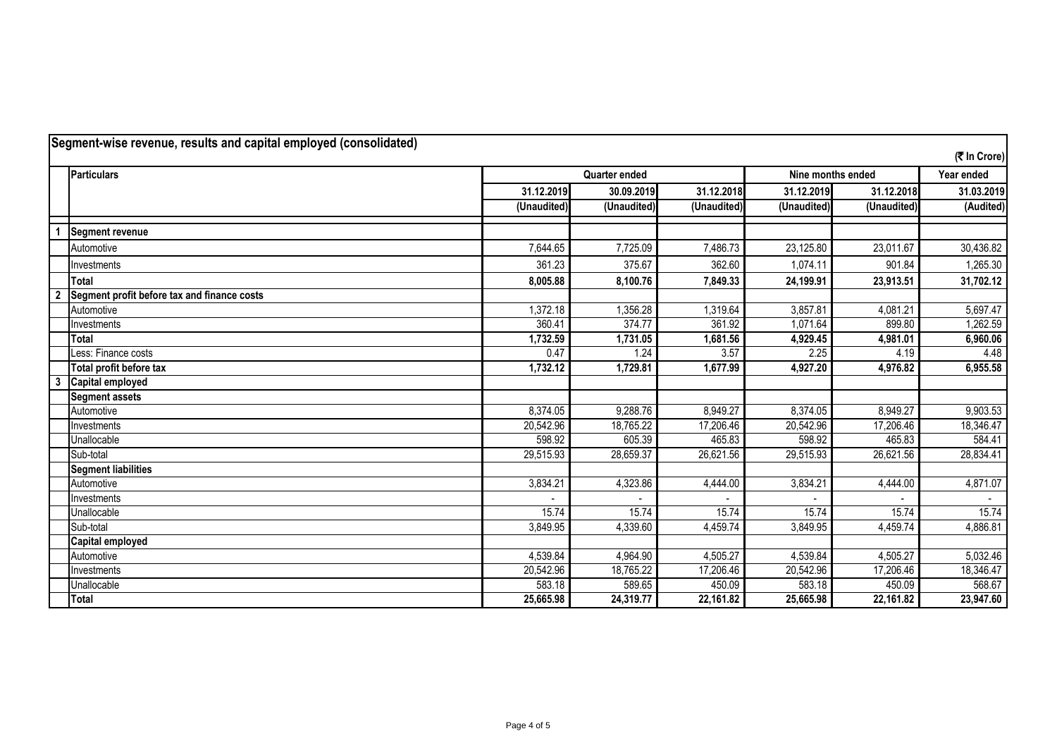| Segment-wise revenue, results and capital employed (consolidated) |                                             |                      |             |             |                   |             |              |
|-------------------------------------------------------------------|---------------------------------------------|----------------------|-------------|-------------|-------------------|-------------|--------------|
|                                                                   |                                             |                      |             |             |                   |             | (₹ In Crore) |
|                                                                   | <b>Particulars</b>                          | <b>Quarter ended</b> |             |             | Nine months ended |             | Year ended   |
|                                                                   |                                             | 31.12.2019           | 30.09.2019  | 31.12.2018  | 31.12.2019        | 31.12.2018  | 31.03.2019   |
|                                                                   |                                             | (Unaudited)          | (Unaudited) | (Unaudited) | (Unaudited)       | (Unaudited) | (Audited)    |
|                                                                   | <b>Segment revenue</b>                      |                      |             |             |                   |             |              |
|                                                                   | Automotive                                  | 7,644.65             | 7,725.09    | 7,486.73    | 23,125.80         | 23,011.67   | 30,436.82    |
|                                                                   | Investments                                 | 361.23               | 375.67      | 362.60      | 1,074.11          | 901.84      | 1,265.30     |
|                                                                   | <b>Total</b>                                | 8,005.88             | 8,100.76    | 7,849.33    | 24,199.91         | 23,913.51   | 31,702.12    |
| $\overline{\mathbf{2}}$                                           | Segment profit before tax and finance costs |                      |             |             |                   |             |              |
|                                                                   | Automotive                                  | 1,372.18             | 1,356.28    | 1,319.64    | 3,857.81          | 4,081.21    | 5,697.47     |
|                                                                   | Investments                                 | 360.41               | 374.77      | 361.92      | 1,071.64          | 899.80      | 1,262.59     |
|                                                                   | Total                                       | 1,732.59             | 1,731.05    | 1,681.56    | 4,929.45          | 4,981.01    | 6,960.06     |
|                                                                   | Less: Finance costs                         | 0.47                 | 1.24        | 3.57        | 2.25              | 4.19        | 4.48         |
|                                                                   | Total profit before tax                     | 1,732.12             | 1,729.81    | 1,677.99    | 4,927.20          | 4,976.82    | 6,955.58     |
| $\overline{\mathbf{3}}$                                           | Capital employed                            |                      |             |             |                   |             |              |
|                                                                   | <b>Segment assets</b>                       |                      |             |             |                   |             |              |
|                                                                   | Automotive                                  | 8,374.05             | 9,288.76    | 8,949.27    | 8,374.05          | 8,949.27    | 9,903.53     |
|                                                                   | Investments                                 | 20,542.96            | 18,765.22   | 17,206.46   | 20,542.96         | 17,206.46   | 18,346.47    |
|                                                                   | Unallocable                                 | 598.92               | 605.39      | 465.83      | 598.92            | 465.83      | 584.41       |
|                                                                   | Sub-total                                   | 29,515.93            | 28,659.37   | 26,621.56   | 29,515.93         | 26,621.56   | 28,834.41    |
|                                                                   | <b>Segment liabilities</b>                  |                      |             |             |                   |             |              |
|                                                                   | Automotive                                  | 3,834.21             | 4,323.86    | 4,444.00    | 3,834.21          | 4,444.00    | 4,871.07     |
|                                                                   | Investments                                 |                      |             |             |                   |             |              |
|                                                                   | Unallocable                                 | 15.74                | 15.74       | 15.74       | 15.74             | 15.74       | 15.74        |
|                                                                   | Sub-total                                   | 3,849.95             | 4,339.60    | 4,459.74    | 3,849.95          | 4,459.74    | 4,886.81     |
|                                                                   | <b>Capital employed</b>                     |                      |             |             |                   |             |              |
|                                                                   | Automotive                                  | 4,539.84             | 4,964.90    | 4,505.27    | 4,539.84          | 4,505.27    | 5,032.46     |
|                                                                   | Investments                                 | 20,542.96            | 18,765.22   | 17,206.46   | 20,542.96         | 17,206.46   | 18,346.47    |
|                                                                   | Unallocable                                 | 583.18               | 589.65      | 450.09      | 583.18            | 450.09      | 568.67       |
|                                                                   | Total                                       | 25,665.98            | 24,319.77   | 22,161.82   | 25,665.98         | 22,161.82   | 23,947.60    |